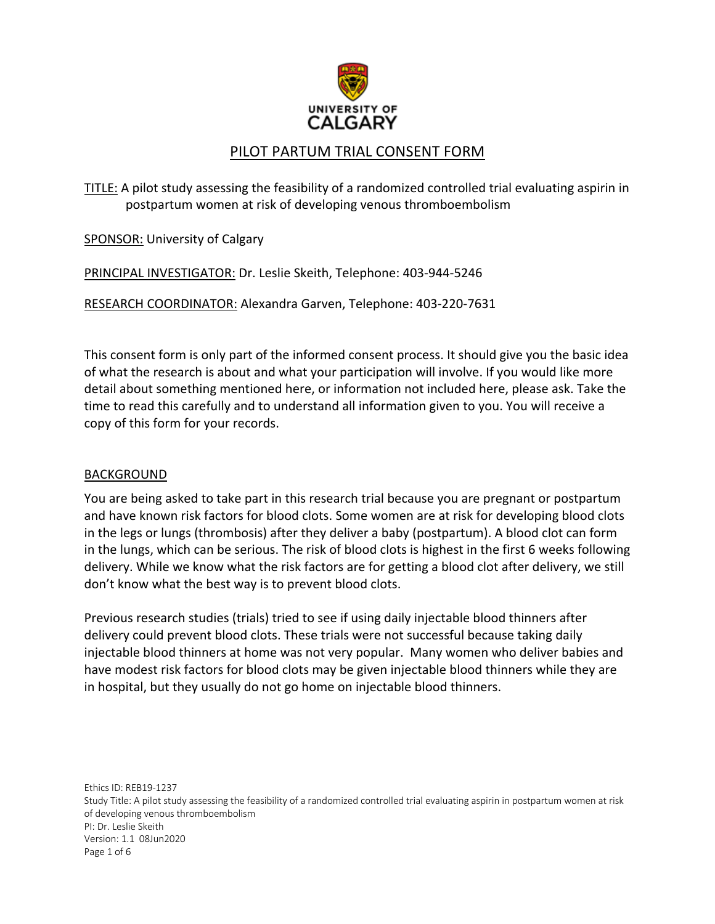

# PILOT PARTUM TRIAL CONSENT FORM

TITLE: A pilot study assessing the feasibility of a randomized controlled trial evaluating aspirin in postpartum women at risk of developing venous thromboembolism

SPONSOR: University of Calgary

PRINCIPAL INVESTIGATOR: Dr. Leslie Skeith, Telephone: 403-944-5246

RESEARCH COORDINATOR: Alexandra Garven, Telephone: 403-220-7631

This consent form is only part of the informed consent process. It should give you the basic idea of what the research is about and what your participation will involve. If you would like more detail about something mentioned here, or information not included here, please ask. Take the time to read this carefully and to understand all information given to you. You will receive a copy of this form for your records.

#### BACKGROUND

You are being asked to take part in this research trial because you are pregnant or postpartum and have known risk factors for blood clots. Some women are at risk for developing blood clots in the legs or lungs (thrombosis) after they deliver a baby (postpartum). A blood clot can form in the lungs, which can be serious. The risk of blood clots is highest in the first 6 weeks following delivery. While we know what the risk factors are for getting a blood clot after delivery, we still don't know what the best way is to prevent blood clots.

Previous research studies (trials) tried to see if using daily injectable blood thinners after delivery could prevent blood clots. These trials were not successful because taking daily injectable blood thinners at home was not very popular. Many women who deliver babies and have modest risk factors for blood clots may be given injectable blood thinners while they are in hospital, but they usually do not go home on injectable blood thinners.

Ethics ID: REB19-1237 Study Title: A pilot study assessing the feasibility of a randomized controlled trial evaluating aspirin in postpartum women at risk of developing venous thromboembolism PI: Dr. Leslie Skeith Version: 1.1 08Jun2020 Page 1 of 6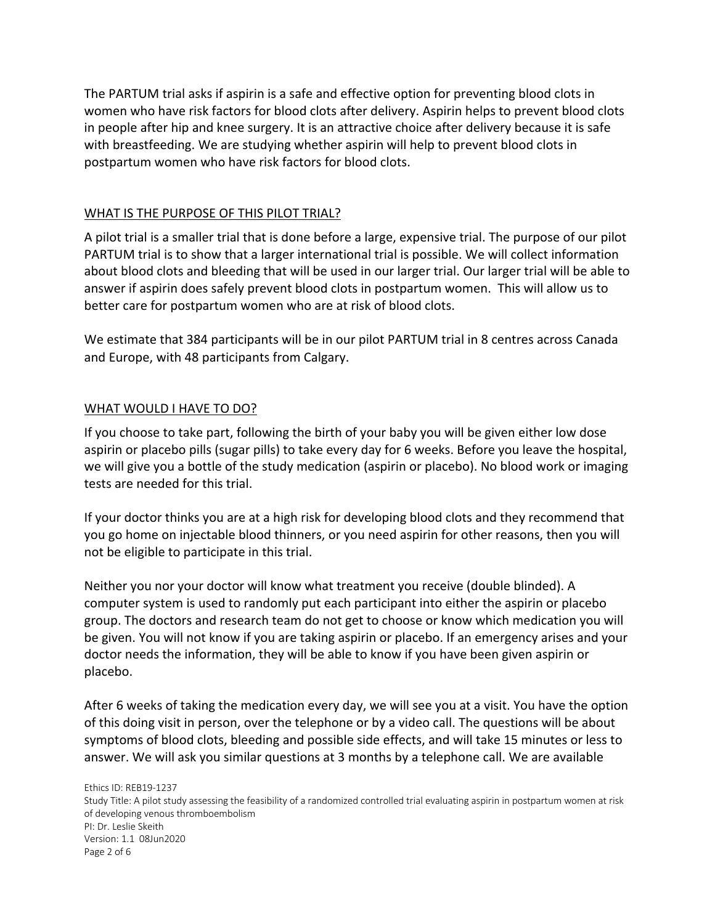The PARTUM trial asks if aspirin is a safe and effective option for preventing blood clots in women who have risk factors for blood clots after delivery. Aspirin helps to prevent blood clots in people after hip and knee surgery. It is an attractive choice after delivery because it is safe with breastfeeding. We are studying whether aspirin will help to prevent blood clots in postpartum women who have risk factors for blood clots.

### WHAT IS THE PURPOSE OF THIS PILOT TRIAL?

A pilot trial is a smaller trial that is done before a large, expensive trial. The purpose of our pilot PARTUM trial is to show that a larger international trial is possible. We will collect information about blood clots and bleeding that will be used in our larger trial. Our larger trial will be able to answer if aspirin does safely prevent blood clots in postpartum women. This will allow us to better care for postpartum women who are at risk of blood clots.

We estimate that 384 participants will be in our pilot PARTUM trial in 8 centres across Canada and Europe, with 48 participants from Calgary.

## WHAT WOULD I HAVE TO DO?

If you choose to take part, following the birth of your baby you will be given either low dose aspirin or placebo pills (sugar pills) to take every day for 6 weeks. Before you leave the hospital, we will give you a bottle of the study medication (aspirin or placebo). No blood work or imaging tests are needed for this trial.

If your doctor thinks you are at a high risk for developing blood clots and they recommend that you go home on injectable blood thinners, or you need aspirin for other reasons, then you will not be eligible to participate in this trial.

Neither you nor your doctor will know what treatment you receive (double blinded). A computer system is used to randomly put each participant into either the aspirin or placebo group. The doctors and research team do not get to choose or know which medication you will be given. You will not know if you are taking aspirin or placebo. If an emergency arises and your doctor needs the information, they will be able to know if you have been given aspirin or placebo.

After 6 weeks of taking the medication every day, we will see you at a visit. You have the option of this doing visit in person, over the telephone or by a video call. The questions will be about symptoms of blood clots, bleeding and possible side effects, and will take 15 minutes or less to answer. We will ask you similar questions at 3 months by a telephone call. We are available

Ethics ID: REB19-1237 Study Title: A pilot study assessing the feasibility of a randomized controlled trial evaluating aspirin in postpartum women at risk of developing venous thromboembolism PI: Dr. Leslie Skeith Version: 1.1 08Jun2020 Page 2 of 6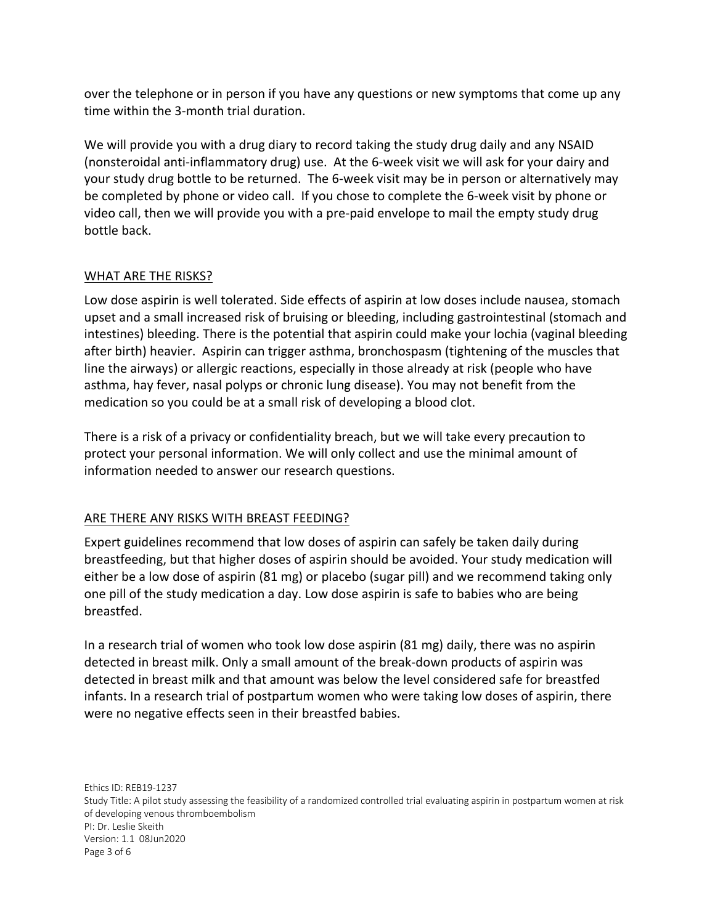over the telephone or in person if you have any questions or new symptoms that come up any time within the 3-month trial duration.

We will provide you with a drug diary to record taking the study drug daily and any NSAID (nonsteroidal anti-inflammatory drug) use. At the 6-week visit we will ask for your dairy and your study drug bottle to be returned. The 6-week visit may be in person or alternatively may be completed by phone or video call. If you chose to complete the 6-week visit by phone or video call, then we will provide you with a pre-paid envelope to mail the empty study drug bottle back.

## WHAT ARE THE RISKS?

Low dose aspirin is well tolerated. Side effects of aspirin at low doses include nausea, stomach upset and a small increased risk of bruising or bleeding, including gastrointestinal (stomach and intestines) bleeding. There is the potential that aspirin could make your lochia (vaginal bleeding after birth) heavier. Aspirin can trigger asthma, bronchospasm (tightening of the muscles that line the airways) or allergic reactions, especially in those already at risk (people who have asthma, hay fever, nasal polyps or chronic lung disease). You may not benefit from the medication so you could be at a small risk of developing a blood clot.

There is a risk of a privacy or confidentiality breach, but we will take every precaution to protect your personal information. We will only collect and use the minimal amount of information needed to answer our research questions.

#### ARE THERE ANY RISKS WITH BREAST FEEDING?

Expert guidelines recommend that low doses of aspirin can safely be taken daily during breastfeeding, but that higher doses of aspirin should be avoided. Your study medication will either be a low dose of aspirin (81 mg) or placebo (sugar pill) and we recommend taking only one pill of the study medication a day. Low dose aspirin is safe to babies who are being breastfed.

In a research trial of women who took low dose aspirin (81 mg) daily, there was no aspirin detected in breast milk. Only a small amount of the break-down products of aspirin was detected in breast milk and that amount was below the level considered safe for breastfed infants. In a research trial of postpartum women who were taking low doses of aspirin, there were no negative effects seen in their breastfed babies.

Ethics ID: REB19-1237 Study Title: A pilot study assessing the feasibility of a randomized controlled trial evaluating aspirin in postpartum women at risk of developing venous thromboembolism PI: Dr. Leslie Skeith Version: 1.1 08Jun2020 Page 3 of 6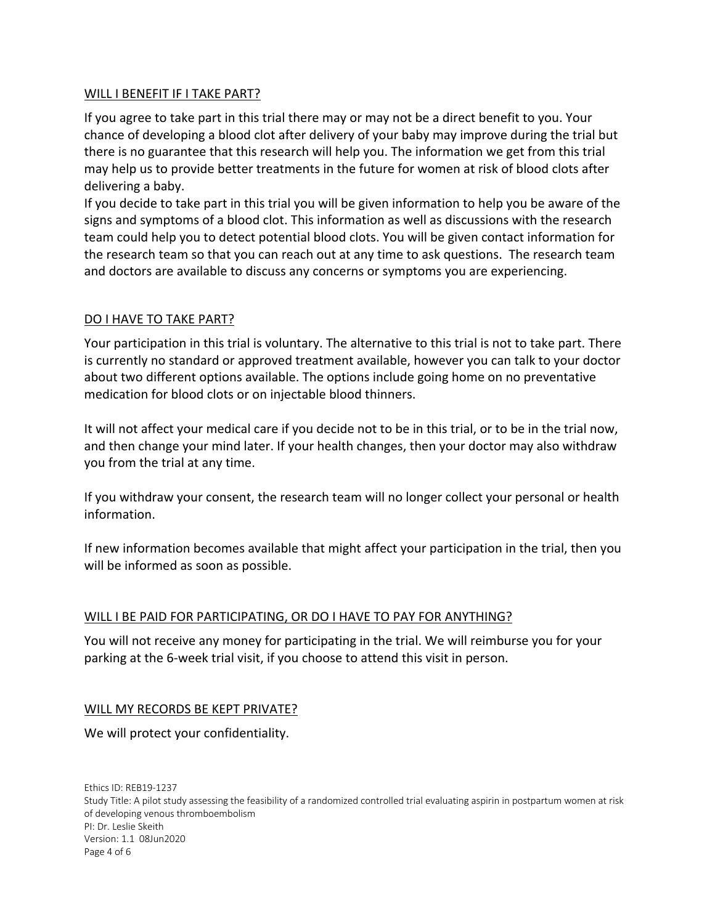#### WILL I BENEFIT IF I TAKE PART?

If you agree to take part in this trial there may or may not be a direct benefit to you. Your chance of developing a blood clot after delivery of your baby may improve during the trial but there is no guarantee that this research will help you. The information we get from this trial may help us to provide better treatments in the future for women at risk of blood clots after delivering a baby.

If you decide to take part in this trial you will be given information to help you be aware of the signs and symptoms of a blood clot. This information as well as discussions with the research team could help you to detect potential blood clots. You will be given contact information for the research team so that you can reach out at any time to ask questions. The research team and doctors are available to discuss any concerns or symptoms you are experiencing.

## DO I HAVE TO TAKE PART?

Your participation in this trial is voluntary. The alternative to this trial is not to take part. There is currently no standard or approved treatment available, however you can talk to your doctor about two different options available. The options include going home on no preventative medication for blood clots or on injectable blood thinners.

It will not affect your medical care if you decide not to be in this trial, or to be in the trial now, and then change your mind later. If your health changes, then your doctor may also withdraw you from the trial at any time.

If you withdraw your consent, the research team will no longer collect your personal or health information.

If new information becomes available that might affect your participation in the trial, then you will be informed as soon as possible.

## WILL I BE PAID FOR PARTICIPATING, OR DO I HAVE TO PAY FOR ANYTHING?

You will not receive any money for participating in the trial. We will reimburse you for your parking at the 6-week trial visit, if you choose to attend this visit in person.

#### WILL MY RECORDS BE KEPT PRIVATE?

We will protect your confidentiality.

Ethics ID: REB19-1237 Study Title: A pilot study assessing the feasibility of a randomized controlled trial evaluating aspirin in postpartum women at risk of developing venous thromboembolism PI: Dr. Leslie Skeith Version: 1.1 08Jun2020 Page 4 of 6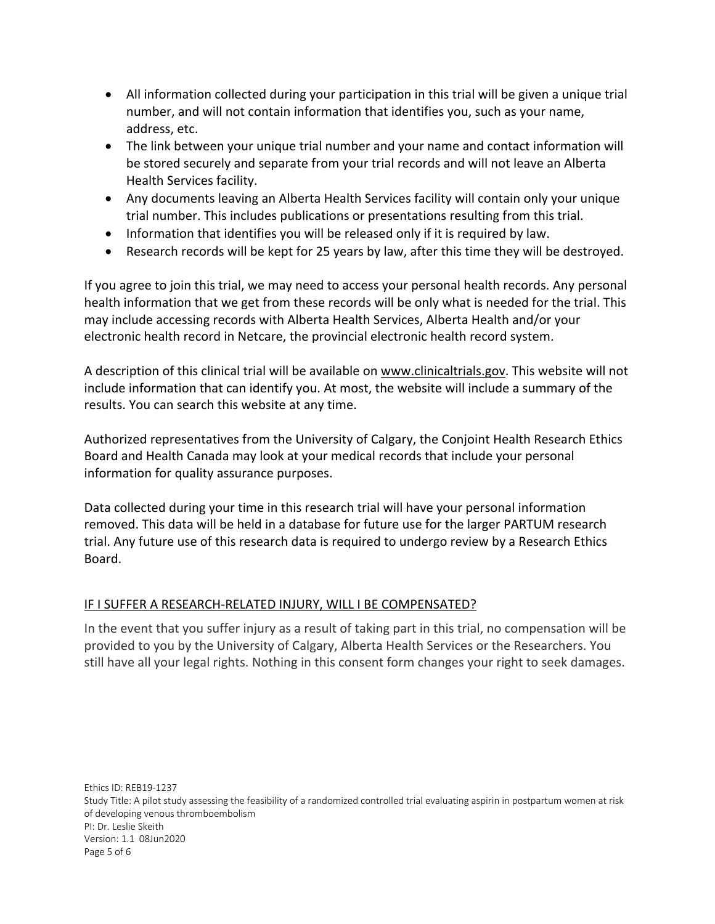- All information collected during your participation in this trial will be given a unique trial number, and will not contain information that identifies you, such as your name, address, etc.
- The link between your unique trial number and your name and contact information will be stored securely and separate from your trial records and will not leave an Alberta Health Services facility.
- Any documents leaving an Alberta Health Services facility will contain only your unique trial number. This includes publications or presentations resulting from this trial.
- Information that identifies you will be released only if it is required by law.
- Research records will be kept for 25 years by law, after this time they will be destroyed.

If you agree to join this trial, we may need to access your personal health records. Any personal health information that we get from these records will be only what is needed for the trial. This may include accessing records with Alberta Health Services, Alberta Health and/or your electronic health record in Netcare, the provincial electronic health record system.

A description of this clinical trial will be available on www.clinicaltrials.gov. This website will not include information that can identify you. At most, the website will include a summary of the results. You can search this website at any time.

Authorized representatives from the University of Calgary, the Conjoint Health Research Ethics Board and Health Canada may look at your medical records that include your personal information for quality assurance purposes.

Data collected during your time in this research trial will have your personal information removed. This data will be held in a database for future use for the larger PARTUM research trial. Any future use of this research data is required to undergo review by a Research Ethics Board.

## IF I SUFFER A RESEARCH-RELATED INJURY, WILL I BE COMPENSATED?

In the event that you suffer injury as a result of taking part in this trial, no compensation will be provided to you by the University of Calgary, Alberta Health Services or the Researchers. You still have all your legal rights. Nothing in this consent form changes your right to seek damages.

Ethics ID: REB19-1237 Study Title: A pilot study assessing the feasibility of a randomized controlled trial evaluating aspirin in postpartum women at risk of developing venous thromboembolism PI: Dr. Leslie Skeith Version: 1.1 08Jun2020 Page 5 of 6